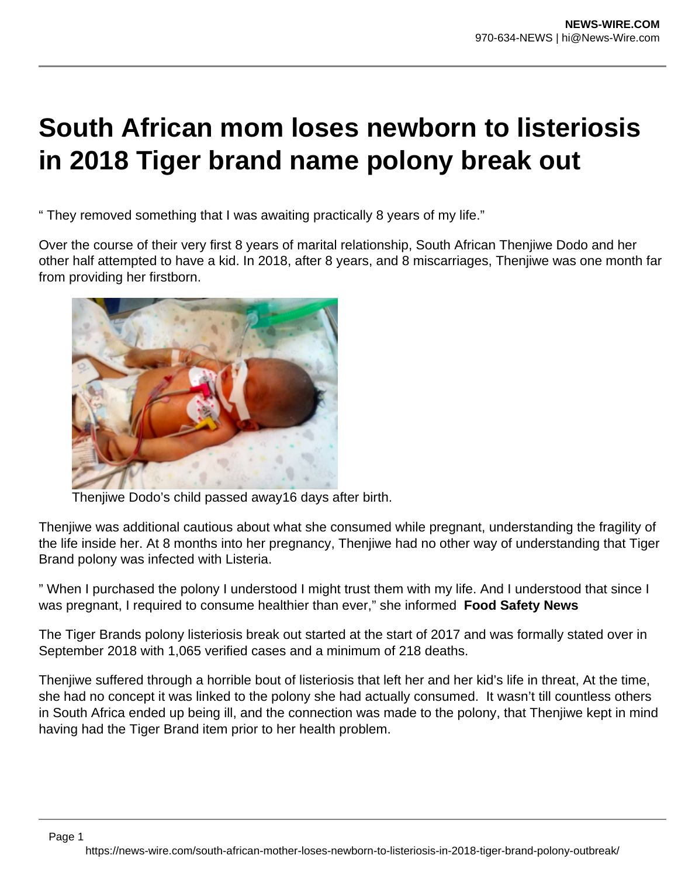## **South African mom loses newborn to listeriosis in 2018 Tiger brand name polony break out**

" They removed something that I was awaiting practically 8 years of my life."

Over the course of their very first 8 years of marital relationship, South African Thenjiwe Dodo and her other half attempted to have a kid. In 2018, after 8 years, and 8 miscarriages, Thenjiwe was one month far from providing her firstborn.



Thenjiwe Dodo's child passed away16 days after birth.

Thenjiwe was additional cautious about what she consumed while pregnant, understanding the fragility of the life inside her. At 8 months into her pregnancy, Thenjiwe had no other way of understanding that Tiger Brand polony was infected with Listeria.

" When I purchased the polony I understood I might trust them with my life. And I understood that since I was pregnant, I required to consume healthier than ever," she informed **Food Safety News**

The Tiger Brands polony listeriosis break out started at the start of 2017 and was formally stated over in September 2018 with 1,065 verified cases and a minimum of 218 deaths.

Thenjiwe suffered through a horrible bout of listeriosis that left her and her kid's life in threat, At the time, she had no concept it was linked to the polony she had actually consumed. It wasn't till countless others in South Africa ended up being ill, and the connection was made to the polony, that Thenjiwe kept in mind having had the Tiger Brand item prior to her health problem.

Page 1